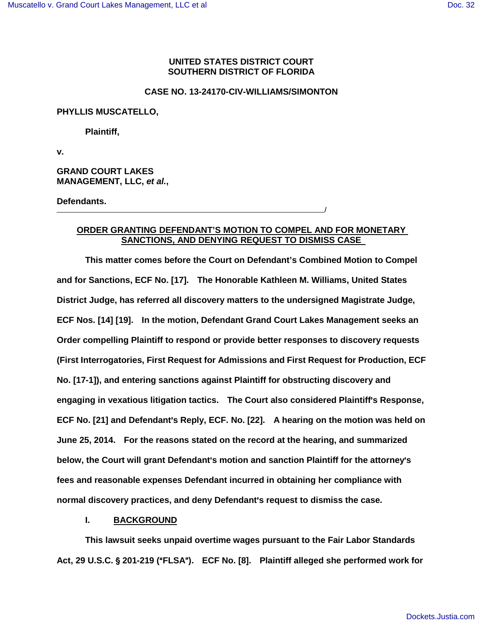## **UNITED STATES DISTRICT COURT SOUTHERN DISTRICT OF FLORIDA**

### **CASE NO. 13-24170-CIV-WILLIAMS/SIMONTON**

### **PHYLLIS MUSCATELLO,**

**Plaintiff,** 

**v.** 

**GRAND COURT LAKES MANAGEMENT, LLC, et al.,** 

**Defendants.** /

# **ORDER GRANTING DEFENDANT'S MOTION TO COMPEL AND FOR MONETARY SANCTIONS, AND DENYING REQUEST TO DISMISS CASE**

**This matter comes before the Court on Defendant's Combined Motion to Compel and for Sanctions, ECF No. [17]. The Honorable Kathleen M. Williams, United States District Judge, has referred all discovery matters to the undersigned Magistrate Judge, ECF Nos. [14] [19]. In the motion, Defendant Grand Court Lakes Management seeks an Order compelling Plaintiff to respond or provide better responses to discovery requests (First Interrogatories, First Request for Admissions and First Request for Production, ECF No. [17-1]), and entering sanctions against Plaintiff for obstructing discovery and**  engaging in vexatious litigation tactics. The Court also considered Plaintiff's Response, **ECF No. [21] and Defendant's Reply, ECF. No. [22]. A hearing on the motion was held on June 25, 2014. For the reasons stated on the record at the hearing, and summarized below, the Court will grant Defendant's motion and sanction Plaintiff for the attorney's fees and reasonable expenses Defendant incurred in obtaining her compliance with normal discovery practices, and deny Defendant's request to dismiss the case.** 

## **I. BACKGROUND**

**This lawsuit seeks unpaid overtime wages pursuant to the Fair Labor Standards**  Act, 29 U.S.C. § 201-219 ("FLSA"). ECF No. [8]. Plaintiff alleged she performed work for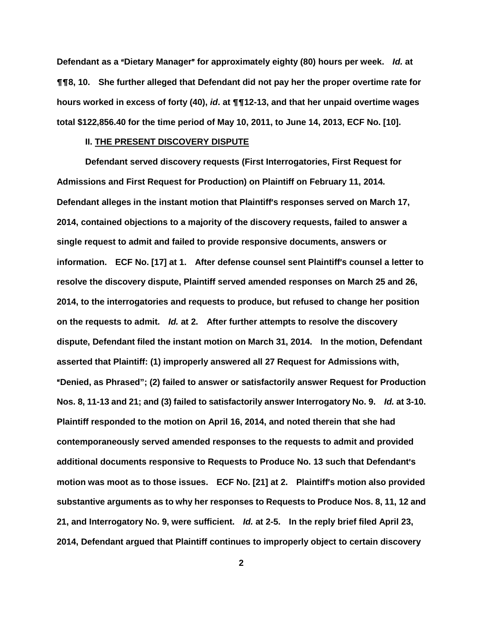**Defendant as a "Dietary Manager" for approximately eighty (80) hours per week. Id. at** &&**8, 10. She further alleged that Defendant did not pay her the proper overtime rate for hours worked in excess of forty (40), id. at** &&**12-13, and that her unpaid overtime wages total \$122,856.40 for the time period of May 10, 2011, to June 14, 2013, ECF No. [10].** 

#### **II. THE PRESENT DISCOVERY DISPUTE**

**Defendant served discovery requests (First Interrogatories, First Request for Admissions and First Request for Production) on Plaintiff on February 11, 2014.**  Defendant alleges in the instant motion that Plaintiff's responses served on March 17, **2014, contained objections to a majority of the discovery requests, failed to answer a single request to admit and failed to provide responsive documents, answers or information. ECF No. [17] at 1. After defense counsel sent Plaintiff's counsel a letter to resolve the discovery dispute, Plaintiff served amended responses on March 25 and 26, 2014, to the interrogatories and requests to produce, but refused to change her position on the requests to admit. Id. at 2. After further attempts to resolve the discovery dispute, Defendant filed the instant motion on March 31, 2014. In the motion, Defendant asserted that Plaintiff: (1) improperly answered all 27 Request for Admissions with,**  A**Denied, as Phrased"; (2) failed to answer or satisfactorily answer Request for Production Nos. 8, 11-13 and 21; and (3) failed to satisfactorily answer Interrogatory No. 9. Id. at 3-10. Plaintiff responded to the motion on April 16, 2014, and noted therein that she had contemporaneously served amended responses to the requests to admit and provided additional documents responsive to Requests to Produce No. 13 such that Defendant's** motion was moot as to those issues. ECF No. [21] at 2. Plaintiff's motion also provided **substantive arguments as to why her responses to Requests to Produce Nos. 8, 11, 12 and 21, and Interrogatory No. 9, were sufficient. Id. at 2-5. In the reply brief filed April 23, 2014, Defendant argued that Plaintiff continues to improperly object to certain discovery**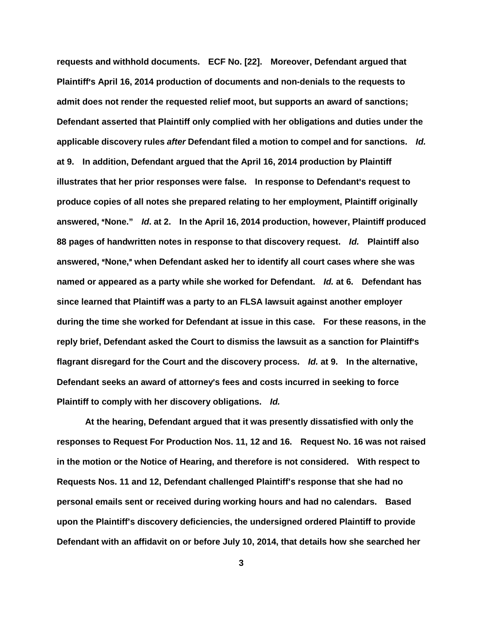**requests and withhold documents. ECF No. [22]. Moreover, Defendant argued that**  Plaintiff's April 16, 2014 production of documents and non-denials to the requests to **admit does not render the requested relief moot, but supports an award of sanctions; Defendant asserted that Plaintiff only complied with her obligations and duties under the applicable discovery rules after Defendant filed a motion to compel and for sanctions. Id. at 9. In addition, Defendant argued that the April 16, 2014 production by Plaintiff**  illustrates that her prior responses were false. In response to Defendant's request to **produce copies of all notes she prepared relating to her employment, Plaintiff originally answered,** A**None." Id. at 2. In the April 16, 2014 production, however, Plaintiff produced 88 pages of handwritten notes in response to that discovery request. Id. Plaintiff also answered,** A**None,**@ **when Defendant asked her to identify all court cases where she was named or appeared as a party while she worked for Defendant. Id. at 6. Defendant has since learned that Plaintiff was a party to an FLSA lawsuit against another employer during the time she worked for Defendant at issue in this case. For these reasons, in the reply brief, Defendant asked the Court to dismiss the lawsuit as a sanction for Plaintiff**=**s flagrant disregard for the Court and the discovery process. Id. at 9. In the alternative, Defendant seeks an award of attorney's fees and costs incurred in seeking to force Plaintiff to comply with her discovery obligations. Id.** 

**At the hearing, Defendant argued that it was presently dissatisfied with only the responses to Request For Production Nos. 11, 12 and 16. Request No. 16 was not raised in the motion or the Notice of Hearing, and therefore is not considered. With respect to Requests Nos. 11 and 12, Defendant challenged Plaintiff's response that she had no personal emails sent or received during working hours and had no calendars. Based upon the Plaintiff's discovery deficiencies, the undersigned ordered Plaintiff to provide Defendant with an affidavit on or before July 10, 2014, that details how she searched her**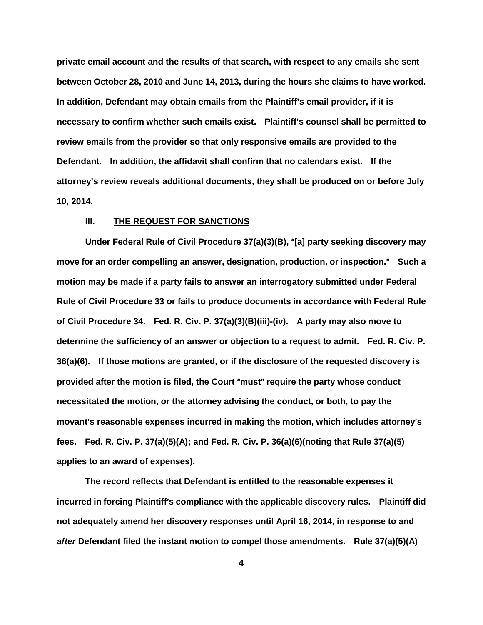**private email account and the results of that search, with respect to any emails she sent between October 28, 2010 and June 14, 2013, during the hours she claims to have worked. In addition, Defendant may obtain emails from the Plaintiff's email provider, if it is necessary to confirm whether such emails exist. Plaintiff's counsel shall be permitted to review emails from the provider so that only responsive emails are provided to the Defendant. In addition, the affidavit shall confirm that no calendars exist. If the attorney's review reveals additional documents, they shall be produced on or before July 10, 2014.** 

## **III. THE REQUEST FOR SANCTIONS**

Under Federal Rule of Civil Procedure 37(a)(3)(B), "[a] party seeking discovery may **move for an order compelling an answer, designation, production, or inspection.**@ **Such a motion may be made if a party fails to answer an interrogatory submitted under Federal Rule of Civil Procedure 33 or fails to produce documents in accordance with Federal Rule of Civil Procedure 34. Fed. R. Civ. P. 37(a)(3)(B)(iii)-(iv). A party may also move to determine the sufficiency of an answer or objection to a request to admit. Fed. R. Civ. P. 36(a)(6). If those motions are granted, or if the disclosure of the requested discovery is provided after the motion is filed, the Court "must" require the party whose conduct necessitated the motion, or the attorney advising the conduct, or both, to pay the**  movant's reasonable expenses incurred in making the motion, which includes attorney's **fees. Fed. R. Civ. P. 37(a)(5)(A); and Fed. R. Civ. P. 36(a)(6)(noting that Rule 37(a)(5) applies to an award of expenses).** 

**The record reflects that Defendant is entitled to the reasonable expenses it incurred in forcing Plaintiff's compliance with the applicable discovery rules. Plaintiff did not adequately amend her discovery responses until April 16, 2014, in response to and after Defendant filed the instant motion to compel those amendments. Rule 37(a)(5)(A)**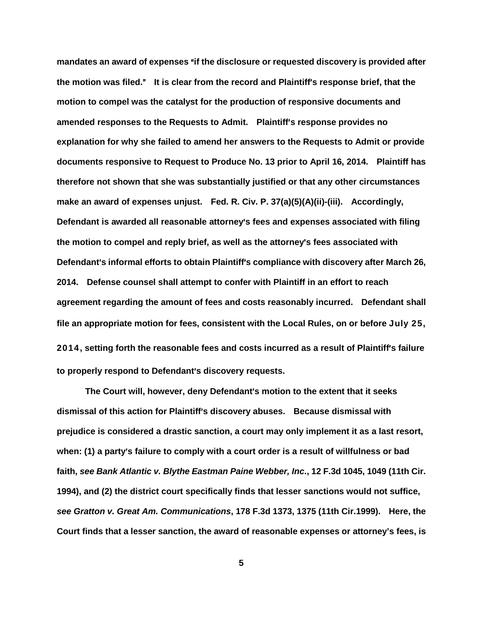**mandates an award of expenses** A**if the disclosure or requested discovery is provided after the motion was filed.**@ **It is clear from the record and Plaintiff**=**s response brief, that the motion to compel was the catalyst for the production of responsive documents and amended responses to the Requests to Admit. Plaintiff**=**s response provides no explanation for why she failed to amend her answers to the Requests to Admit or provide documents responsive to Request to Produce No. 13 prior to April 16, 2014. Plaintiff has therefore not shown that she was substantially justified or that any other circumstances make an award of expenses unjust. Fed. R. Civ. P. 37(a)(5)(A)(ii)-(iii). Accordingly,**  Defendant is awarded all reasonable attorney's fees and expenses associated with filing **the motion to compel and reply brief, as well as the attorney**=**s fees associated with Defendant's informal efforts to obtain Plaintiff's compliance with discovery after March 26, 2014. Defense counsel shall attempt to confer with Plaintiff in an effort to reach agreement regarding the amount of fees and costs reasonably incurred. Defendant shall file an appropriate motion for fees, consistent with the Local Rules, on or before July 25, 2014, setting forth the reasonable fees and costs incurred as a result of Plaintiff**=**s failure**  to properly respond to Defendant's discovery requests.

The Court will, however, deny Defendant's motion to the extent that it seeks **dismissal of this action for Plaintiff**=**s discovery abuses. Because dismissal with prejudice is considered a drastic sanction, a court may only implement it as a last resort,**  when: (1) a party's failure to comply with a court order is a result of willfulness or bad **faith, see Bank Atlantic v. Blythe Eastman Paine Webber, Inc., 12 F.3d 1045, 1049 (11th Cir. 1994), and (2) the district court specifically finds that lesser sanctions would not suffice, see Gratton v. Great Am. Communications, 178 F.3d 1373, 1375 (11th Cir.1999). Here, the Court finds that a lesser sanction, the award of reasonable expenses or attorney's fees, is**